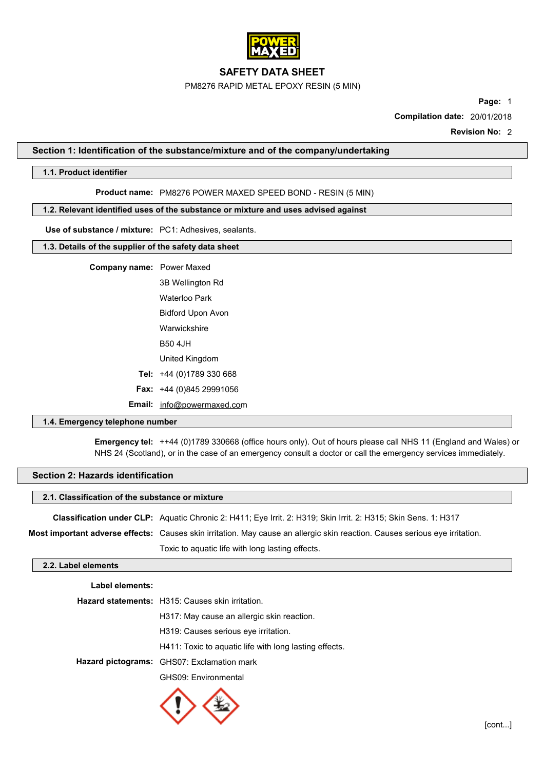

PM8276 RAPID METAL EPOXY RESIN (5 MIN)

**Page:** 1

**Compilation date:** 20/01/2018

**Revision No:** 2

### **Section 1: Identification of the substance/mixture and of the company/undertaking**

### **1.1. Product identifier**

**Product name:** PM8276 POWER MAXED SPEED BOND - RESIN (5 MIN)

### **1.2. Relevant identified uses of the substance or mixture and uses advised against**

**Use of substance / mixture:** PC1: Adhesives, sealants.

### **1.3. Details of the supplier of the safety data sheet**

## **Company name:** Power Maxed

3B Wellington Rd Waterloo Park Bidford Upon Avon Warwickshire B50 4JH United Kingdom **Tel:** +44 (0)1789 330 668 **Fax:** +44 (0)845 29991056

**Email:** [info@powermaxed.com](mailto:robert@cartell-uk.com)

### **1.4. Emergency telephone number**

**Emergency tel:** ++44 (0)1789 330668 (office hours only). Out of hours please call NHS 11 (England and Wales) or NHS 24 (Scotland), or in the case of an emergency consult a doctor or call the emergency services immediately.

### **Section 2: Hazards identification**

### **2.1. Classification of the substance or mixture**

| Classification under CLP: Aquatic Chronic 2: H411; Eye Irrit. 2: H319; Skin Irrit. 2: H315; Skin Sens. 1: H317                                                                                                                |  |
|-------------------------------------------------------------------------------------------------------------------------------------------------------------------------------------------------------------------------------|--|
| . The contract of the contract of the contract of the contract of the contract of the contract of the contract of the contract of the contract of the contract of the contract of the contract of the contract of the contrac |  |

**Most important adverse effects:** Causes skin irritation. May cause an allergic skin reaction. Causes serious eye irritation.

Toxic to aquatic life with long lasting effects.

## **2.2. Label elements**

| Label elements: |                                                         |
|-----------------|---------------------------------------------------------|
|                 | <b>Hazard statements:</b> H315: Causes skin irritation. |
|                 | H317: May cause an allergic skin reaction.              |
|                 | H319: Causes serious eve irritation.                    |
|                 | H411: Toxic to aguatic life with long lasting effects.  |
|                 | Hazard pictograms: GHS07: Exclamation mark              |
|                 | GHS09: Environmental                                    |
|                 |                                                         |

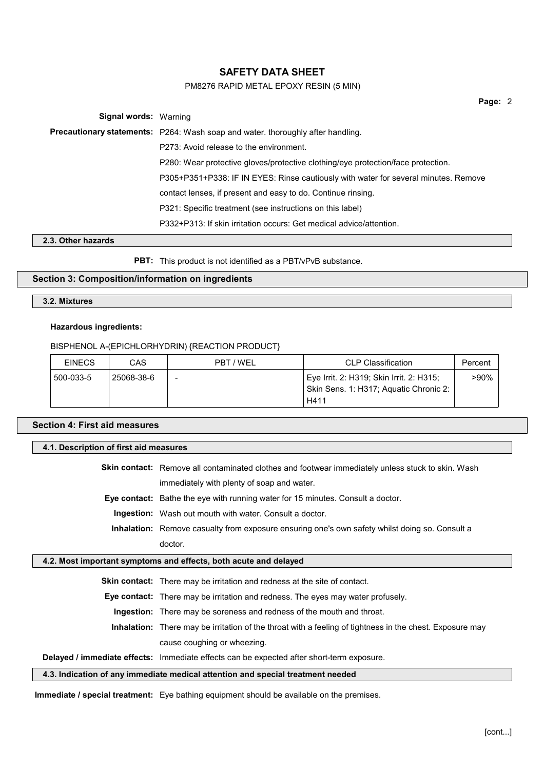## PM8276 RAPID METAL EPOXY RESIN (5 MIN)

**Page:** 2

**Signal words:** Warning **Precautionary statements:** P264: Wash soap and water. thoroughly after handling. P273: Avoid release to the environment. P280: Wear protective gloves/protective clothing/eye protection/face protection. P305+P351+P338: IF IN EYES: Rinse cautiously with water for several minutes. Remove contact lenses, if present and easy to do. Continue rinsing. P321: Specific treatment (see instructions on this label) P332+P313: If skin irritation occurs: Get medical advice/attention.

### **2.3. Other hazards**

**PBT:** This product is not identified as a PBT/vPvB substance.

### **Section 3: Composition/information on ingredients**

**3.2. Mixtures**

### **Hazardous ingredients:**

BISPHENOL A-(EPICHLORHYDRIN) {REACTION PRODUCT}

| <b>EINECS</b> | CAS        | PBT / WEL                | <b>CLP Classification</b>                                                                  | Percent |
|---------------|------------|--------------------------|--------------------------------------------------------------------------------------------|---------|
| 500-033-5     | 25068-38-6 | $\overline{\phantom{a}}$ | Eye Irrit. 2: H319; Skin Irrit. 2: H315;<br>Skin Sens. 1: H317; Aquatic Chronic 2:<br>H411 | >90%    |

## **Section 4: First aid measures**

| 4.1. Description of first aid measures                                          |                                                                                                          |  |
|---------------------------------------------------------------------------------|----------------------------------------------------------------------------------------------------------|--|
|                                                                                 | <b>Skin contact:</b> Remove all contaminated clothes and footwear immediately unless stuck to skin. Wash |  |
|                                                                                 | immediately with plenty of soap and water.                                                               |  |
|                                                                                 | <b>Eye contact:</b> Bathe the eye with running water for 15 minutes. Consult a doctor.                   |  |
|                                                                                 | <b>Ingestion:</b> Wash out mouth with water. Consult a doctor.                                           |  |
|                                                                                 | <b>Inhalation:</b> Remove casualty from exposure ensuring one's own safety whilst doing so. Consult a    |  |
|                                                                                 | doctor.                                                                                                  |  |
| 4.2. Most important symptoms and effects, both acute and delayed                |                                                                                                          |  |
|                                                                                 | <b>Skin contact:</b> There may be irritation and redness at the site of contact.                         |  |
|                                                                                 | <b>Eye contact:</b> There may be irritation and redness. The eyes may water profusely.                   |  |
|                                                                                 | <b>Ingestion:</b> There may be soreness and redness of the mouth and throat.                             |  |
|                                                                                 | Inhalation: There may be irritation of the throat with a feeling of tightness in the chest. Exposure may |  |
|                                                                                 | cause coughing or wheezing.                                                                              |  |
|                                                                                 | Delayed / immediate effects: Immediate effects can be expected after short-term exposure.                |  |
| 4.3. Indication of any immediate medical attention and special treatment needed |                                                                                                          |  |

**Immediate / special treatment:** Eye bathing equipment should be available on the premises.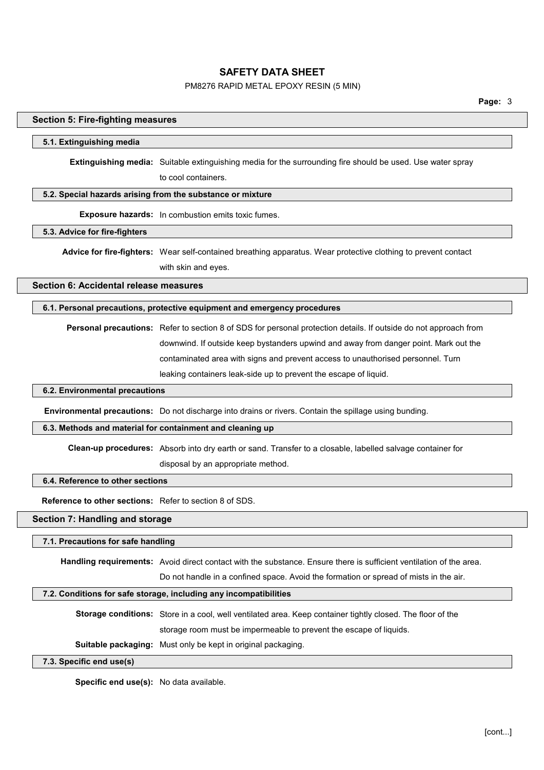### PM8276 RAPID METAL EPOXY RESIN (5 MIN)

### **Section 5: Fire-fighting measures**

### **5.1. Extinguishing media**

**Extinguishing media:** Suitable extinguishing media for the surrounding fire should be used. Use water spray to cool containers.

### **5.2. Special hazards arising from the substance or mixture**

**Exposure hazards:** In combustion emits toxic fumes.

### **5.3. Advice for fire-fighters**

**Advice for fire-fighters:** Wear self-contained breathing apparatus. Wear protective clothing to prevent contact with skin and eyes.

**Section 6: Accidental release measures**

### **6.1. Personal precautions, protective equipment and emergency procedures**

**Personal precautions:** Refer to section 8 of SDS for personal protection details. If outside do not approach from downwind. If outside keep bystanders upwind and away from danger point. Mark out the contaminated area with signs and prevent access to unauthorised personnel. Turn leaking containers leak-side up to prevent the escape of liquid.

## **6.2. Environmental precautions**

**Environmental precautions:** Do not discharge into drains or rivers. Contain the spillage using bunding.

### **6.3. Methods and material for containment and cleaning up**

**Clean-up procedures:** Absorb into dry earth or sand. Transfer to a closable, labelled salvage container for

disposal by an appropriate method.

### **6.4. Reference to other sections**

**Reference to other sections:** Refer to section 8 of SDS.

### **Section 7: Handling and storage**

### **7.1. Precautions for safe handling**

**Handling requirements:** Avoid direct contact with the substance. Ensure there is sufficient ventilation of the area. Do not handle in a confined space. Avoid the formation or spread of mists in the air.

### **7.2. Conditions for safe storage, including any incompatibilities**

**Storage conditions:** Store in a cool, well ventilated area. Keep container tightly closed. The floor of the storage room must be impermeable to prevent the escape of liquids.

**Suitable packaging:** Must only be kept in original packaging.

### **7.3. Specific end use(s)**

**Specific end use(s):** No data available.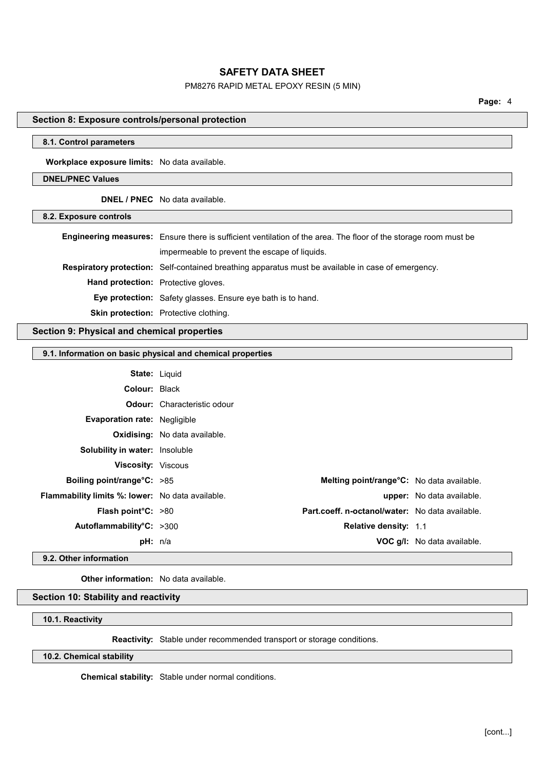### PM8276 RAPID METAL EPOXY RESIN (5 MIN)

# **Section 8: Exposure controls/personal protection 8.1. Control parameters Workplace exposure limits:** No data available. **DNEL/PNEC Values DNEL / PNEC** No data available. **8.2. Exposure controls Engineering measures:** Ensure there is sufficient ventilation of the area. The floor of the storage room must be impermeable to prevent the escape of liquids. **Respiratory protection:** Self-contained breathing apparatus must be available in case of emergency. **Hand protection:** Protective gloves. **Eye protection:** Safety glasses. Ensure eye bath is to hand. **Skin protection:** Protective clothing. **Section 9: Physical and chemical properties 9.1. Information on basic physical and chemical properties State:** Liquid **Colour:** Black **Odour:** Characteristic odour **Evaporation rate:** Negligible **Oxidising:** No data available. **Solubility in water:** Insoluble **Viscosity:** Viscous **Boiling point/range°C:** >85 **Melting point/range°C:** No data available. **Flammability limits %: lower:** No data available. **upper:** No data available. **Flash point°C:** >80 **Part.coeff. n-octanol/water:** No data available. **Autoflammability°C:**  $>300$  **Relative density:** 1.1 **pH:** n/a **VOC g/l:** No data available.

**9.2. Other information**

**Other information:** No data available.

### **Section 10: Stability and reactivity**

**10.1. Reactivity**

**Reactivity:** Stable under recommended transport or storage conditions.

**10.2. Chemical stability**

**Chemical stability:** Stable under normal conditions.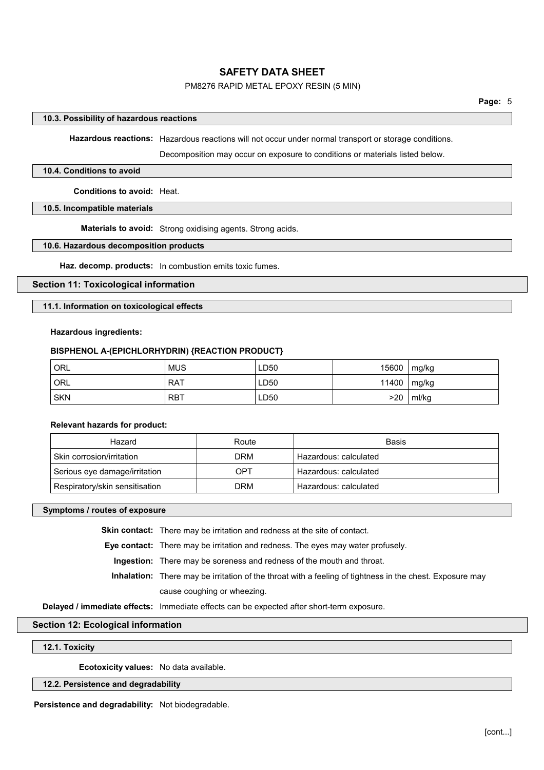### PM8276 RAPID METAL EPOXY RESIN (5 MIN)

### **10.3. Possibility of hazardous reactions**

**Hazardous reactions:** Hazardous reactions will not occur under normal transport or storage conditions.

Decomposition may occur on exposure to conditions or materials listed below.

### **10.4. Conditions to avoid**

**Conditions to avoid:** Heat.

### **10.5. Incompatible materials**

**Materials to avoid:** Strong oxidising agents. Strong acids.

### **10.6. Hazardous decomposition products**

**Haz. decomp. products:** In combustion emits toxic fumes.

### **Section 11: Toxicological information**

### **11.1. Information on toxicological effects**

### **Hazardous ingredients:**

### **BISPHENOL A-(EPICHLORHYDRIN) {REACTION PRODUCT}**

| ' ORL      | <b>MUS</b> | LD50 | $15600$       | mg/kg |
|------------|------------|------|---------------|-------|
| ' ORL      | <b>RAT</b> | LD50 | 11400   mg/kg |       |
| <b>SKN</b> | <b>RBT</b> | LD50 | >20           | ml/kg |

### **Relevant hazards for product:**

| Hazard                         | Route      | <b>Basis</b>          |
|--------------------------------|------------|-----------------------|
| Skin corrosion/irritation      | <b>DRM</b> | Hazardous: calculated |
| Serious eye damage/irritation  | OPT        | Hazardous: calculated |
| Respiratory/skin sensitisation | <b>DRM</b> | Hazardous: calculated |

**Symptoms / routes of exposure**

**Skin contact:** There may be irritation and redness at the site of contact.

**Eye contact:** There may be irritation and redness. The eyes may water profusely.

**Ingestion:** There may be soreness and redness of the mouth and throat.

**Inhalation:** There may be irritation of the throat with a feeling of tightness in the chest. Exposure may cause coughing or wheezing.

**Delayed / immediate effects:** Immediate effects can be expected after short-term exposure.

### **Section 12: Ecological information**

### **12.1. Toxicity**

**Ecotoxicity values:** No data available.

### **12.2. Persistence and degradability**

**Persistence and degradability:** Not biodegradable.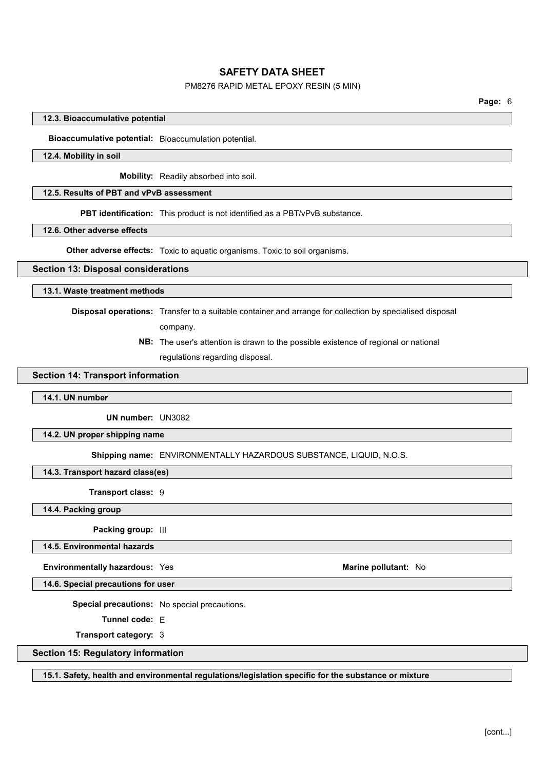### PM8276 RAPID METAL EPOXY RESIN (5 MIN)

### **12.3. Bioaccumulative potential**

**Bioaccumulative potential:** Bioaccumulation potential.

### **12.4. Mobility in soil**

**Mobility:** Readily absorbed into soil.

### **12.5. Results of PBT and vPvB assessment**

**PBT identification:** This product is not identified as a PBT/vPvB substance.

### **12.6. Other adverse effects**

**Other adverse effects:** Toxic to aquatic organisms. Toxic to soil organisms.

### **Section 13: Disposal considerations**

### **13.1. Waste treatment methods**

**Disposal operations:** Transfer to a suitable container and arrange for collection by specialised disposal

company.

**NB:** The user's attention is drawn to the possible existence of regional or national regulations regarding disposal.

## **Section 14: Transport information**

### **14.1. UN number**

**UN number:** UN3082

**14.2. UN proper shipping name**

**Shipping name:** ENVIRONMENTALLY HAZARDOUS SUBSTANCE, LIQUID, N.O.S.

**14.3. Transport hazard class(es)**

**Transport class:** 9

**14.4. Packing group**

**Packing group:** III

**14.5. Environmental hazards**

**Environmentally hazardous:** Yes **Marine Marine Marine** pollutant: No

**14.6. Special precautions for user**

**Special precautions:** No special precautions.

**Tunnel code:** E

**Transport category:** 3

**Section 15: Regulatory information**

**15.1. Safety, health and environmental regulations/legislation specific for the substance or mixture**